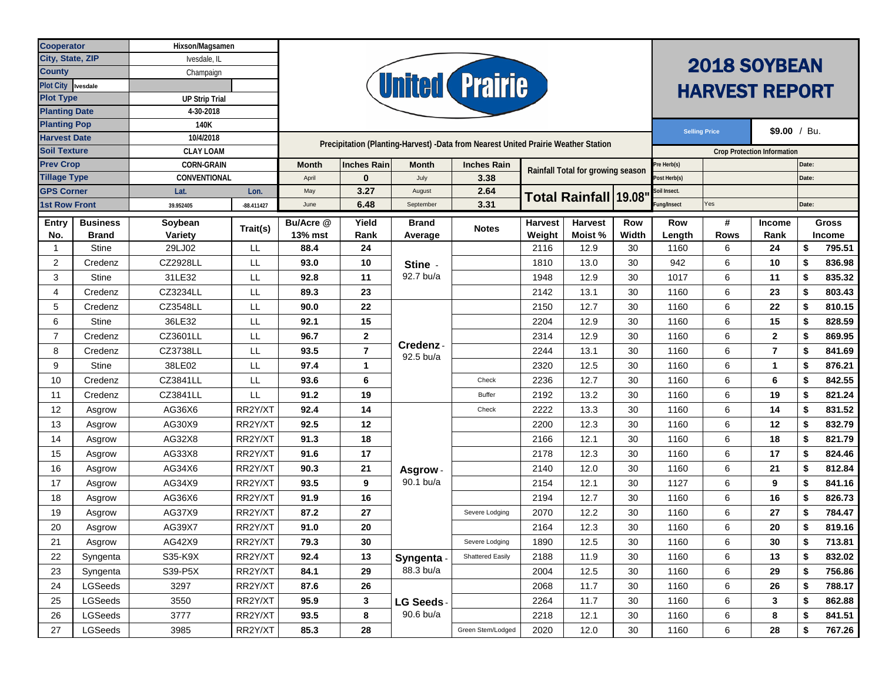| <b>Cooperator</b>                       |                                 | Hixson/Magsamen                       |              |                                                                                    |                |                                  |                         |                                   |        |              |                                    |                                      |                |              |        |  |  |
|-----------------------------------------|---------------------------------|---------------------------------------|--------------|------------------------------------------------------------------------------------|----------------|----------------------------------|-------------------------|-----------------------------------|--------|--------------|------------------------------------|--------------------------------------|----------------|--------------|--------|--|--|
| City, State, ZIP                        |                                 | Ivesdale, IL                          |              |                                                                                    |                |                                  |                         |                                   |        |              |                                    | <b>2018 SOYBEAN</b>                  |                |              |        |  |  |
| County                                  |                                 | Champaign                             |              |                                                                                    |                |                                  |                         |                                   |        |              |                                    |                                      |                |              |        |  |  |
| Plot City Ivesdale                      |                                 | <b>United Prairie</b>                 |              |                                                                                    |                |                                  |                         |                                   |        |              | <b>HARVEST REPORT</b>              |                                      |                |              |        |  |  |
| <b>Plot Type</b>                        |                                 | <b>UP Strip Trial</b>                 |              |                                                                                    |                |                                  |                         |                                   |        |              |                                    |                                      |                |              |        |  |  |
| <b>Planting Date</b>                    |                                 | 4-30-2018                             |              |                                                                                    |                |                                  |                         |                                   |        |              |                                    |                                      |                |              |        |  |  |
| <b>Planting Pop</b>                     |                                 | 140K                                  |              |                                                                                    |                |                                  |                         |                                   |        |              |                                    | \$9.00 / Bu.<br><b>Selling Price</b> |                |              |        |  |  |
| <b>Harvest Date</b>                     |                                 | 10/4/2018                             |              | Precipitation (Planting-Harvest) -Data from Nearest United Prairie Weather Station |                |                                  |                         |                                   |        |              | <b>Crop Protection Information</b> |                                      |                |              |        |  |  |
| <b>Soil Texture</b><br><b>Prev Crop</b> |                                 | <b>CLAY LOAM</b><br><b>CORN-GRAIN</b> |              | <b>Inches Rain</b><br><b>Inches Rain</b><br><b>Month</b><br><b>Month</b>           |                |                                  |                         |                                   |        |              | Date:<br>re Herb(s)                |                                      |                |              |        |  |  |
| <b>Tillage Type</b>                     |                                 | CONVENTIONAL                          |              | April                                                                              | $\bf{0}$       | July                             | 3.38                    | Rainfall Total for growing season |        | ost Herb(s)  |                                    |                                      | Date:          |              |        |  |  |
| <b>GPS Corner</b>                       |                                 | Lon.<br>Lat.                          |              | May                                                                                | 3.27           | August                           | 2.64                    |                                   |        | Soil Insect. |                                    |                                      |                |              |        |  |  |
| <b>1st Row Front</b>                    |                                 | 39.952405                             | $-88.411427$ | June                                                                               | 6.48           | September                        | 3.31                    | Total Rainfall 19.08              |        | ung/Insect   | Yes                                |                                      | Date:          |              |        |  |  |
|                                         |                                 |                                       |              | Bu/Acre @                                                                          | Yield          | <b>Brand</b>                     |                         | <b>Harvest</b><br><b>Harvest</b>  |        | Row          | <b>Row</b>                         | #                                    | <b>Income</b>  | <b>Gross</b> |        |  |  |
| Entry<br>No.                            | <b>Business</b><br><b>Brand</b> | Soybean<br>Variety                    | Trait(s)     | 13% mst                                                                            | Rank           | Average                          | <b>Notes</b>            | Weight                            | Moist% | Width        | Length                             | <b>Rows</b>                          | Rank           |              | Income |  |  |
| $\mathbf{1}$                            | <b>Stine</b>                    | 29LJ02                                | LL           | 88.4                                                                               | 24             |                                  |                         | 2116                              | 12.9   | 30           | 1160                               | 6                                    | 24             | \$           | 795.51 |  |  |
| 2                                       | Credenz                         | CZ2928LL                              | LL           | 93.0                                                                               | 10             | Stine -<br>92.7 bu/a             |                         | 1810                              | 13.0   | 30           | 942                                | 6                                    | 10             | \$           | 836.98 |  |  |
| 3                                       | <b>Stine</b>                    | 31LE32                                | LL           | 92.8                                                                               | 11             |                                  |                         | 1948                              | 12.9   | 30           | 1017                               | 6                                    | 11             | \$           | 835.32 |  |  |
| 4                                       | Credenz                         | CZ3234LL                              | LL           | 89.3                                                                               | 23             |                                  |                         | 2142                              | 13.1   | 30           | 1160                               | 6                                    | 23             | \$           | 803.43 |  |  |
| 5                                       | Credenz                         | CZ3548LL                              | LL           | 90.0                                                                               | 22             | Credenz-<br>92.5 bu/a            |                         | 2150                              | 12.7   | 30           | 1160                               | 6                                    | 22             | \$           | 810.15 |  |  |
| 6                                       | <b>Stine</b>                    | 36LE32                                | LL.          | 92.1                                                                               | 15             |                                  |                         | 2204                              | 12.9   | 30           | 1160                               | 6                                    | 15             | \$           | 828.59 |  |  |
| $\overline{7}$                          | Credenz                         | CZ3601LL                              | LL           | 96.7                                                                               | $\mathbf{2}$   |                                  |                         | 2314                              | 12.9   | 30           | 1160                               | 6                                    | $\mathbf{2}$   | \$           | 869.95 |  |  |
| 8                                       | Credenz                         | CZ3738LL                              | LL           | 93.5                                                                               | $\overline{7}$ |                                  |                         | 2244                              | 13.1   | 30           | 1160                               | 6                                    | $\overline{7}$ | \$           | 841.69 |  |  |
| 9                                       | Stine                           | 38LE02                                | LL           | 97.4                                                                               | $\mathbf{1}$   |                                  |                         | 2320                              | 12.5   | 30           | 1160                               | 6                                    | $\mathbf{1}$   | \$           | 876.21 |  |  |
| 10                                      | Credenz                         | CZ3841LL                              | LL           | 93.6                                                                               | 6              |                                  | Check                   | 2236                              | 12.7   | 30           | 1160                               | 6                                    | 6              | \$           | 842.55 |  |  |
| 11                                      | Credenz                         | CZ3841LL                              | LL           | 91.2                                                                               | 19             |                                  | <b>Buffer</b>           | 2192                              | 13.2   | 30           | 1160                               | 6                                    | 19             | \$           | 821.24 |  |  |
| 12                                      | Asgrow                          | AG36X6                                | RR2Y/XT      | 92.4                                                                               | 14             | Asgrow-<br>90.1 bu/a<br>Syngenta | Check                   | 2222                              | 13.3   | 30           | 1160                               | 6                                    | 14             | \$           | 831.52 |  |  |
| 13                                      | Asgrow                          | AG30X9                                | RR2Y/XT      | 92.5                                                                               | 12             |                                  |                         | 2200                              | 12.3   | 30           | 1160                               | 6                                    | 12             | \$           | 832.79 |  |  |
| 14                                      | Asgrow                          | AG32X8                                | RR2Y/XT      | 91.3                                                                               | 18             |                                  |                         | 2166                              | 12.1   | 30           | 1160                               | 6                                    | 18             | \$           | 821.79 |  |  |
| 15                                      | Asgrow                          | AG33X8                                | RR2Y/XT      | 91.6                                                                               | 17             |                                  |                         | 2178                              | 12.3   | 30           | 1160                               | 6                                    | 17             | \$           | 824.46 |  |  |
| 16                                      | Asgrow                          | AG34X6                                | RR2Y/XT      | 90.3                                                                               | 21             |                                  |                         | 2140                              | 12.0   | 30           | 1160                               | 6                                    | 21             | \$           | 812.84 |  |  |
| 17                                      | Asgrow                          | AG34X9                                | RR2Y/XT      | 93.5                                                                               | 9              |                                  |                         | 2154                              | 12.1   | 30           | 1127                               | 6                                    | 9              | \$           | 841.16 |  |  |
| 18                                      | Asgrow                          | AG36X6                                | RR2Y/XT      | 91.9                                                                               | 16             |                                  |                         | 2194                              | 12.7   | 30           | 1160                               | 6                                    | 16             | \$           | 826.73 |  |  |
| 19                                      | Asgrow                          | AG37X9                                | RR2Y/XT      | 87.2                                                                               | 27             |                                  | Severe Lodging          | 2070                              | 12.2   | 30           | 1160                               | 6                                    | 27             | \$           | 784.47 |  |  |
| 20                                      | Asgrow                          | AG39X7                                | RR2Y/XT      | 91.0                                                                               | 20             |                                  |                         | 2164                              | 12.3   | 30           | 1160                               | 6                                    | 20             | \$           | 819.16 |  |  |
| 21                                      | Asgrow                          | AG42X9                                | RR2Y/XT      | 79.3                                                                               | 30             |                                  | Severe Lodging          | 1890                              | 12.5   | 30           | 1160                               | 6                                    | 30             | \$           | 713.81 |  |  |
| 22                                      | Syngenta                        | S35-K9X                               | RR2Y/XT      | 92.4                                                                               | 13             |                                  | <b>Shattered Easily</b> | 2188                              | 11.9   | 30           | 1160                               | 6                                    | 13             | \$           | 832.02 |  |  |
| 23                                      | Syngenta                        | S39-P5X                               | RR2Y/XT      | 84.1                                                                               | 29             | 88.3 bu/a                        |                         | 2004                              | 12.5   | 30           | 1160                               | 6                                    | 29             | \$           | 756.86 |  |  |
| 24                                      | LGSeeds                         | 3297                                  | RR2Y/XT      | 87.6                                                                               | 26             |                                  |                         | 2068                              | 11.7   | 30           | 1160                               | 6                                    | 26             | \$           | 788.17 |  |  |
| 25                                      | <b>LGSeeds</b>                  | 3550                                  | RR2Y/XT      | 95.9                                                                               | 3              | <b>LG Seeds</b>                  |                         | 2264                              | 11.7   | 30           | 1160                               | 6                                    | 3              | \$           | 862.88 |  |  |
| 26                                      | LGSeeds                         | 3777                                  | RR2Y/XT      | 93.5                                                                               | 8              | 90.6 bu/a                        |                         | 2218                              | 12.1   | 30           | 1160                               | 6                                    | 8              | \$           | 841.51 |  |  |
| 27                                      | LGSeeds                         | 3985                                  | RR2Y/XT      | 85.3                                                                               | 28             |                                  | Green Stem/Lodged       | 2020                              | 12.0   | 30           | 1160                               | 6                                    | 28             | \$           | 767.26 |  |  |
|                                         |                                 |                                       |              |                                                                                    |                |                                  |                         |                                   |        |              |                                    |                                      |                |              |        |  |  |